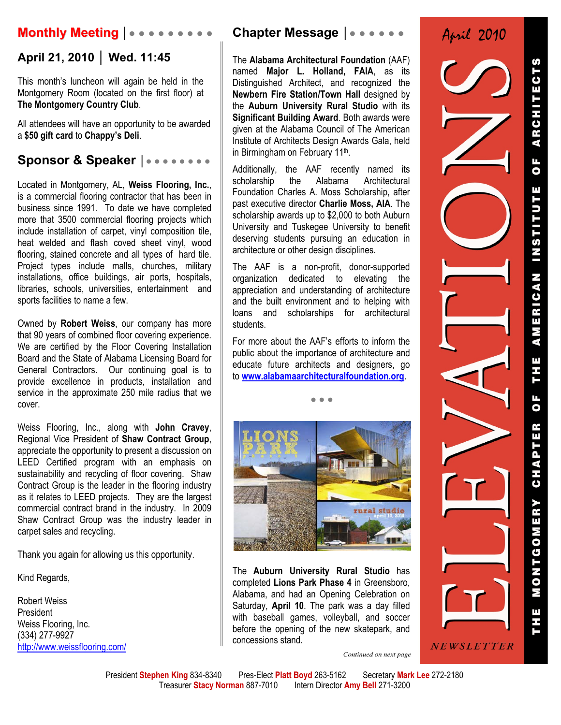## **Monthly Meeting │● ● ● ● ● ● ● ● ●**

### **April 21, 2010 │ Wed. 11:45**

This month's luncheon will again be held in the Montgomery Room (located on the first floor) at **The Montgomery Country Club**.

All attendees will have an opportunity to be awarded a **\$50 gift card** to **Chappy's Deli**.

### **Sponsor & Speaker │● ● ● ● ● ● ● ●**

Located in Montgomery, AL, **Weiss Flooring, Inc.**, is a commercial flooring contractor that has been in business since 1991. To date we have completed more that 3500 commercial flooring projects which include installation of carpet, vinyl composition tile, heat welded and flash coved sheet vinyl, wood flooring, stained concrete and all types of hard tile. Project types include malls, churches, military installations, office buildings, air ports, hospitals, libraries, schools, universities, entertainment and sports facilities to name a few.

Owned by **Robert Weiss**, our company has more that 90 years of combined floor covering experience. We are certified by the Floor Covering Installation Board and the State of Alabama Licensing Board for General Contractors. Our continuing goal is to provide excellence in products, installation and service in the approximate 250 mile radius that we cover.

Weiss Flooring, Inc., along with **John Cravey**, Regional Vice President of **Shaw Contract Group**, appreciate the opportunity to present a discussion on LEED Certified program with an emphasis on sustainability and recycling of floor covering. Shaw Contract Group is the leader in the flooring industry as it relates to LEED projects. They are the largest commercial contract brand in the industry. In 2009 Shaw Contract Group was the industry leader in carpet sales and recycling.

Thank you again for allowing us this opportunity.

Kind Regards,

Robert Weiss President Weiss Flooring, Inc. (334) 277-9927 http://www.weissflooring.com/

### **Chapter Message │● ● ● ● ● ●**

The **Alabama Architectural Foundation** (AAF) named **Major L. Holland, FAIA**, as its Distinguished Architect, and recognized the **Newbern Fire Station/Town Hall** designed by the **Auburn University Rural Studio** with its **Significant Building Award**. Both awards were given at the Alabama Council of The American Institute of Architects Design Awards Gala, held in Birmingham on February 11th.

Additionally, the AAF recently named its scholarship the Alabama Architectural Foundation Charles A. Moss Scholarship, after past executive director **Charlie Moss, AIA**. The scholarship awards up to \$2,000 to both Auburn University and Tuskegee University to benefit deserving students pursuing an education in architecture or other design disciplines.

The AAF is a non-profit, donor-supported organization dedicated to elevating the appreciation and understanding of architecture and the built environment and to helping with loans and scholarships for architectural students.

For more about the AAF's efforts to inform the public about the importance of architecture and educate future architects and designers, go to **www.alabamaarchitecturalfoundation.org**.

● ● ●



The **Auburn University Rural Studio** has completed **Lions Park Phase 4** in Greensboro, Alabama, and had an Opening Celebration on Saturday, **April 10**. The park was a day filled with baseball games, volleyball, and soccer before the opening of the new skatepark, and concessions stand.

April 2010

*NEWSLETTER* Continued on next page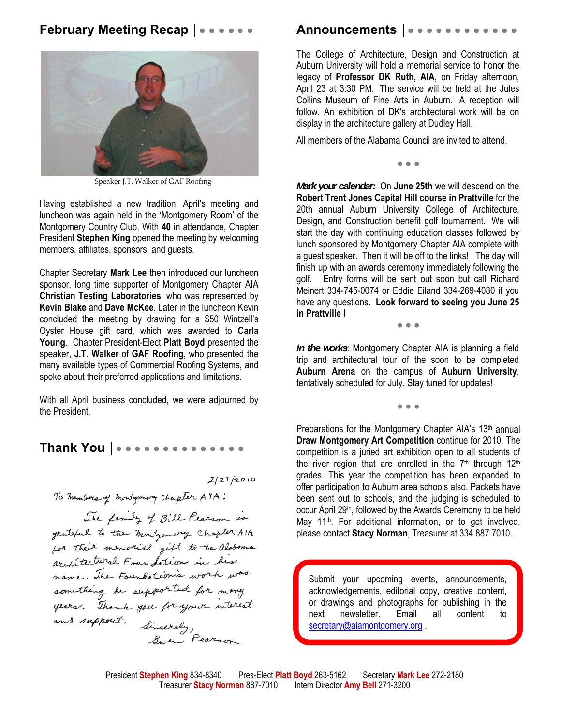### **February Meeting Recap |●●●●●●**



Speaker J.T. Walker of GAF Roofing

Having established a new tradition, April's meeting and luncheon was again held in the 'Montgomery Room' of the Montgomery Country Club. With **40** in attendance, Chapter President **Stephen King** opened the meeting by welcoming members, affiliates, sponsors, and guests.

Chapter Secretary **Mark Lee** then introduced our luncheon sponsor, long time supporter of Montgomery Chapter AIA **Christian Testing Laboratories**, who was represented by **Kevin Blake** and **Dave McKee**. Later in the luncheon Kevin concluded the meeting by drawing for a \$50 Wintzell's Oyster House gift card, which was awarded to **Carla Young**. Chapter President-Elect **Platt Boyd** presented the speaker, **J.T. Walker** of **GAF Roofing**, who presented the many available types of Commercial Roofing Systems, and spoke about their preferred applications and limitations.

With all April business concluded, we were adjourned by the President.

### Thank You | • • • • • • • • • • • • • • •

 $2/27/2010$ 

To members of montgomery chapter ATA: The family of Bill Pearson is geateful to the monigoning chapter AIA for their memorial gift to the aloboma architectural Foundation in his name. The Foundation's work was something he supported for many<br>years. Thank you for your interest years. Thank you for your time<br>and support. Sincerely,

### **Announcements │**● ● ● ● ● ● ● ● ● ● ● ●

The College of Architecture, Design and Construction at Auburn University will hold a memorial service to honor the legacy of **Professor DK Ruth, AIA**, on Friday afternoon, April 23 at 3:30 PM. The service will be held at the Jules Collins Museum of Fine Arts in Auburn. A reception will follow. An exhibition of DK's architectural work will be on display in the architecture gallery at Dudley Hall.

All members of the Alabama Council are invited to attend.

● ● ●

*Mark your calendar:* On **June 25th** we will descend on the **Robert Trent Jones Capital Hill course in Prattville** for the 20th annual Auburn University College of Architecture, Design, and Construction benefit golf tournament. We will start the day with continuing education classes followed by lunch sponsored by Montgomery Chapter AIA complete with a guest speaker. Then it will be off to the links! The day will finish up with an awards ceremony immediately following the golf. Entry forms will be sent out soon but call Richard Meinert 334-745-0074 or Eddie Eiland 334-269-4080 if you have any questions. **Look forward to seeing you June 25 in Prattville !**

● ● ●

*In the works*: Montgomery Chapter AIA is planning a field trip and architectural tour of the soon to be completed **Auburn Arena** on the campus of **Auburn University**, tentatively scheduled for July. Stay tuned for updates!

● ● ●

Preparations for the Montgomery Chapter AIA's 13<sup>th</sup> annual **Draw Montgomery Art Competition** continue for 2010. The competition is a juried art exhibition open to all students of the river region that are enrolled in the  $7<sup>th</sup>$  through  $12<sup>th</sup>$ grades. This year the competition has been expanded to offer participation to Auburn area schools also. Packets have been sent out to schools, and the judging is scheduled to occur April 29th, followed by the Awards Ceremony to be held May 11<sup>th</sup>. For additional information, or to get involved, please contact **Stacy Norman**, Treasurer at 334.887.7010.

Submit your upcoming events, announcements, acknowledgements, editorial copy, creative content, or drawings and photographs for publishing in the next newsletter. Email all content to secretary@aiamontgomery.org